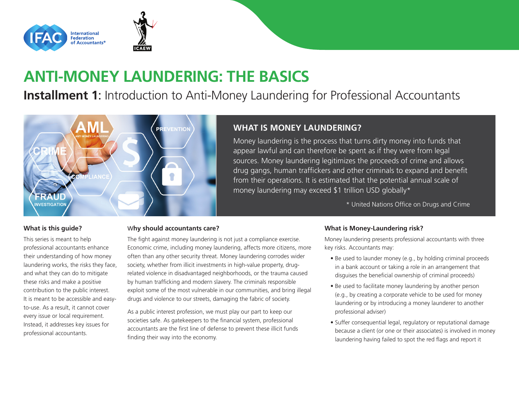

# **ANTI-MONEY LAUNDERING: THE BASICS**

**Installment 1:** Introduction to Anti-Money Laundering for Professional Accountants



# **WHAT IS MONEY LAUNDERING?**

Money laundering is the process that turns dirty money into funds that appear lawful and can therefore be spent as if they were from legal sources. Money laundering legitimizes the proceeds of crime and allows drug gangs, human traffickers and other criminals to expand and benefit from their operations. It is estimated that the potential annual scale of money laundering may exceed \$1 trillion USD globally\*

\* United Nations Office on Drugs and Crime

### **What is this guide?**

This series is meant to help professional accountants enhance their understanding of how money laundering works, the risks they face, and what they can do to mitigate these risks and make a positive contribution to the public interest. It is meant to be accessible and easyto-use. As a result, it cannot cover every issue or local requirement. Instead, it addresses key issues for professional accountants.

### W**hy should accountants care?**

The fight against money laundering is not just a compliance exercise. Economic crime, including money laundering, affects more citizens, more often than any other security threat. Money laundering corrodes wider society, whether from illicit investments in high-value property, drugrelated violence in disadvantaged neighborhoods, or the trauma caused by human trafficking and modern slavery. The criminals responsible exploit some of the most vulnerable in our communities, and bring illegal drugs and violence to our streets, damaging the fabric of society.

As a public interest profession, we must play our part to keep our societies safe. As gatekeepers to the financial system, professional accountants are the first line of defense to prevent these illicit funds finding their way into the economy.

### **What is Money-Laundering risk?**

Money laundering presents professional accountants with three key risks. Accountants may:

- Be used to launder money (e.g., by holding criminal proceeds in a bank account or taking a role in an arrangement that disguises the beneficial ownership of criminal proceeds)
- Be used to facilitate money laundering by another person (e.g., by creating a corporate vehicle to be used for money laundering or by introducing a money launderer to another professional adviser)
- Suffer consequential legal, regulatory or reputational damage because a client (or one or their associates) is involved in money laundering having failed to spot the red flags and report it